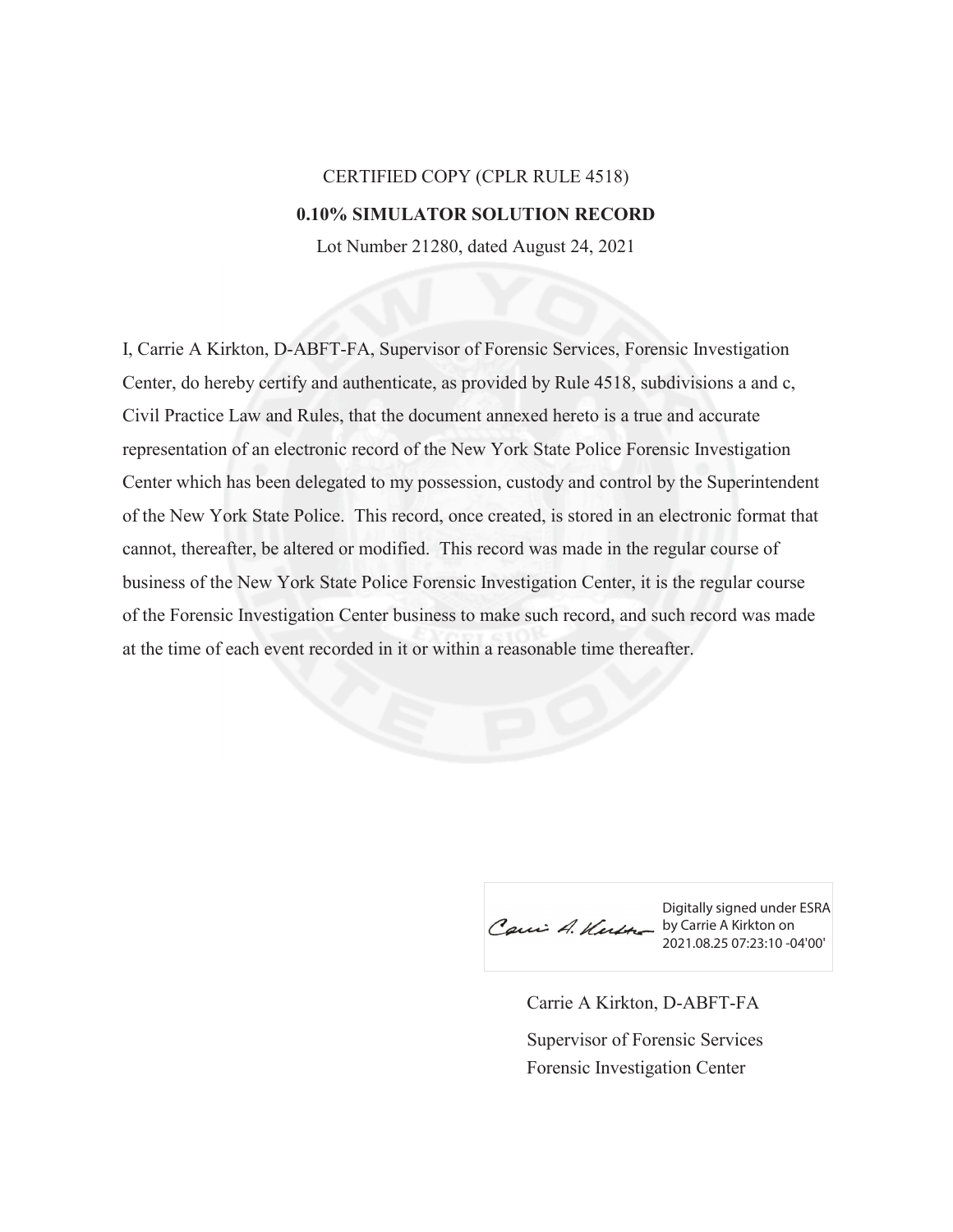## CERTIFIED COPY (CPLR RULE 4518) **0.10% SIMULATOR SOLUTION RECORD**

Lot Number 21280, dated August 24, 2021

I, Carrie A Kirkton, D-ABFT-FA, Supervisor of Forensic Services, Forensic Investigation Center, do hereby certify and authenticate, as provided by Rule 4518, subdivisions a and c, Civil Practice Law and Rules, that the document annexed hereto is a true and accurate representation of an electronic record of the New York State Police Forensic Investigation Center which has been delegated to my possession, custody and control by the Superintendent of the New York State Police. This record, once created, is stored in an electronic format that cannot, thereafter, be altered or modified. This record was made in the regular course of business of the New York State Police Forensic Investigation Center, it is the regular course of the Forensic Investigation Center business to make such record, and such record was made at the time of each event recorded in it or within a reasonable time thereafter.

Caui A. Kutte by Carrie A Kirkton on

Digitally signed under ESRA 2021.08.25 07:23:10 -04'00'

Carrie A Kirkton, D-ABFT-FA Forensic Investigation Center Supervisor of Forensic Services